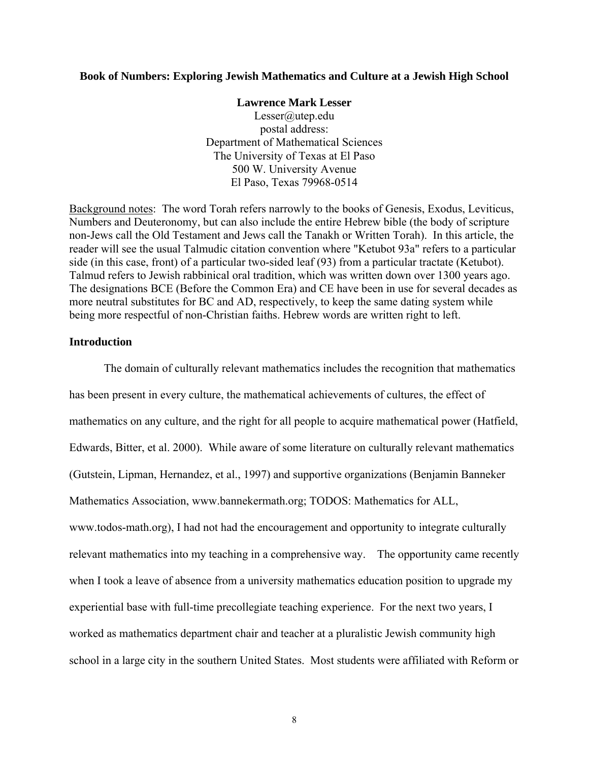#### **Book of Numbers: Exploring Jewish Mathematics and Culture at a Jewish High School**

#### **Lawrence Mark Lesser**

Lesser@utep.edu postal address: Department of Mathematical Sciences The University of Texas at El Paso 500 W. University Avenue El Paso, Texas 79968-0514

Background notes: The word Torah refers narrowly to the books of Genesis, Exodus, Leviticus, Numbers and Deuteronomy, but can also include the entire Hebrew bible (the body of scripture non-Jews call the Old Testament and Jews call the Tanakh or Written Torah). In this article, the reader will see the usual Talmudic citation convention where "Ketubot 93a" refers to a particular side (in this case, front) of a particular two-sided leaf (93) from a particular tractate (Ketubot). Talmud refers to Jewish rabbinical oral tradition, which was written down over 1300 years ago. The designations BCE (Before the Common Era) and CE have been in use for several decades as more neutral substitutes for BC and AD, respectively, to keep the same dating system while being more respectful of non-Christian faiths. Hebrew words are written right to left.

#### **Introduction**

The domain of culturally relevant mathematics includes the recognition that mathematics has been present in every culture, the mathematical achievements of cultures, the effect of mathematics on any culture, and the right for all people to acquire mathematical power (Hatfield, Edwards, Bitter, et al. 2000). While aware of some literature on culturally relevant mathematics (Gutstein, Lipman, Hernandez, et al., 1997) and supportive organizations (Benjamin Banneker Mathematics Association, www.bannekermath.org; TODOS: Mathematics for ALL, www.todos-math.org), I had not had the encouragement and opportunity to integrate culturally relevant mathematics into my teaching in a comprehensive way. The opportunity came recently when I took a leave of absence from a university mathematics education position to upgrade my experiential base with full-time precollegiate teaching experience. For the next two years, I worked as mathematics department chair and teacher at a pluralistic Jewish community high school in a large city in the southern United States. Most students were affiliated with Reform or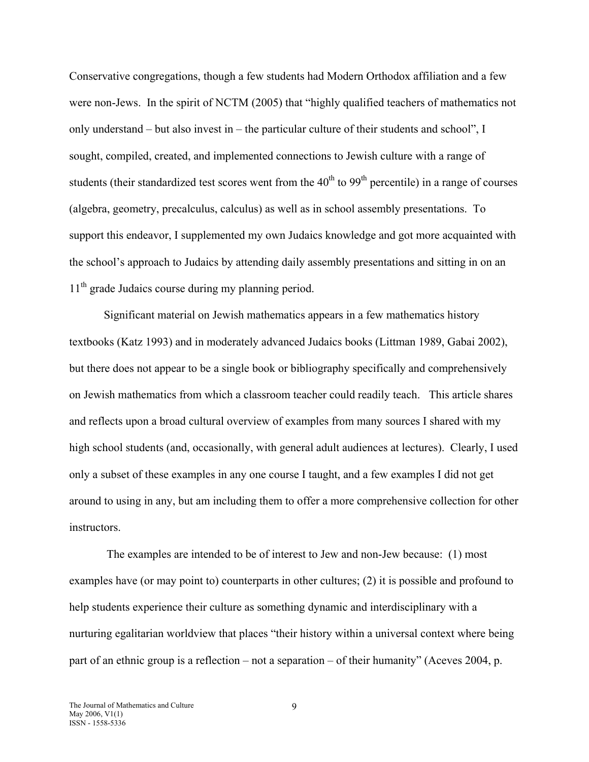Conservative congregations, though a few students had Modern Orthodox affiliation and a few were non-Jews. In the spirit of NCTM (2005) that "highly qualified teachers of mathematics not only understand – but also invest in – the particular culture of their students and school", I sought, compiled, created, and implemented connections to Jewish culture with a range of students (their standardized test scores went from the  $40<sup>th</sup>$  to  $99<sup>th</sup>$  percentile) in a range of courses (algebra, geometry, precalculus, calculus) as well as in school assembly presentations. To support this endeavor, I supplemented my own Judaics knowledge and got more acquainted with the school's approach to Judaics by attending daily assembly presentations and sitting in on an 11<sup>th</sup> grade Judaics course during my planning period.

Significant material on Jewish mathematics appears in a few mathematics history textbooks (Katz 1993) and in moderately advanced Judaics books (Littman 1989, Gabai 2002), but there does not appear to be a single book or bibliography specifically and comprehensively on Jewish mathematics from which a classroom teacher could readily teach. This article shares and reflects upon a broad cultural overview of examples from many sources I shared with my high school students (and, occasionally, with general adult audiences at lectures). Clearly, I used only a subset of these examples in any one course I taught, and a few examples I did not get around to using in any, but am including them to offer a more comprehensive collection for other instructors.

 The examples are intended to be of interest to Jew and non-Jew because: (1) most examples have (or may point to) counterparts in other cultures; (2) it is possible and profound to help students experience their culture as something dynamic and interdisciplinary with a nurturing egalitarian worldview that places "their history within a universal context where being part of an ethnic group is a reflection – not a separation – of their humanity" (Aceves 2004, p.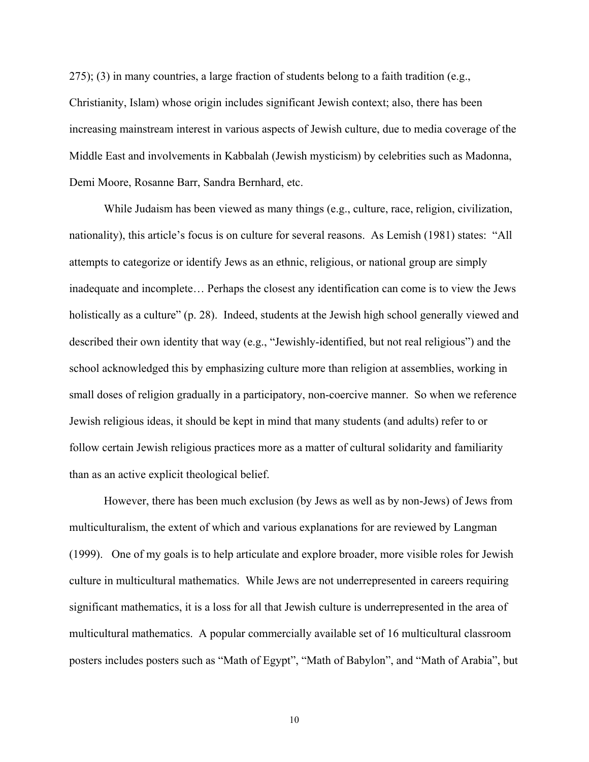$275$ ); (3) in many countries, a large fraction of students belong to a faith tradition (e.g., Christianity, Islam) whose origin includes significant Jewish context; also, there has been increasing mainstream interest in various aspects of Jewish culture, due to media coverage of the Middle East and involvements in Kabbalah (Jewish mysticism) by celebrities such as Madonna, Demi Moore, Rosanne Barr, Sandra Bernhard, etc.

While Judaism has been viewed as many things (e.g., culture, race, religion, civilization, nationality), this article's focus is on culture for several reasons. As Lemish (1981) states: "All attempts to categorize or identify Jews as an ethnic, religious, or national group are simply inadequate and incomplete… Perhaps the closest any identification can come is to view the Jews holistically as a culture" (p. 28). Indeed, students at the Jewish high school generally viewed and described their own identity that way (e.g., "Jewishly-identified, but not real religious") and the school acknowledged this by emphasizing culture more than religion at assemblies, working in small doses of religion gradually in a participatory, non-coercive manner. So when we reference Jewish religious ideas, it should be kept in mind that many students (and adults) refer to or follow certain Jewish religious practices more as a matter of cultural solidarity and familiarity than as an active explicit theological belief.

However, there has been much exclusion (by Jews as well as by non-Jews) of Jews from multiculturalism, the extent of which and various explanations for are reviewed by Langman (1999). One of my goals is to help articulate and explore broader, more visible roles for Jewish culture in multicultural mathematics. While Jews are not underrepresented in careers requiring significant mathematics, it is a loss for all that Jewish culture is underrepresented in the area of multicultural mathematics. A popular commercially available set of 16 multicultural classroom posters includes posters such as "Math of Egypt", "Math of Babylon", and "Math of Arabia", but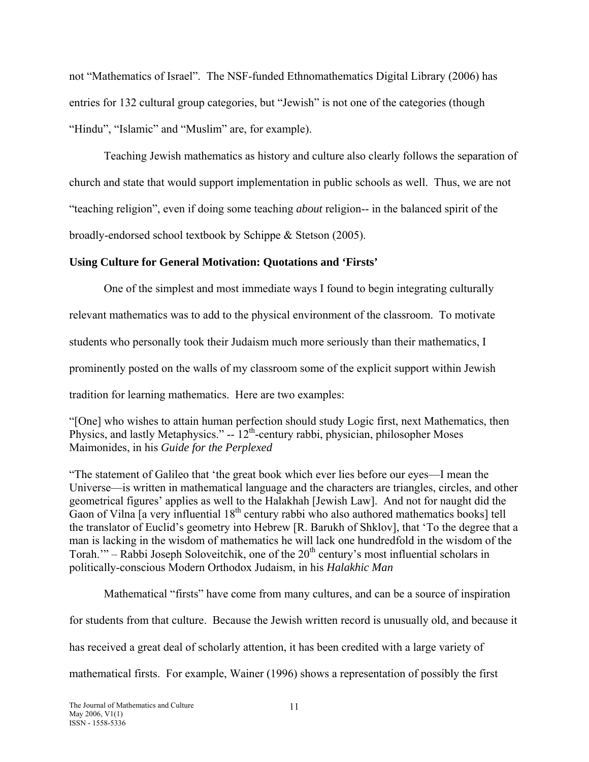not "Mathematics of Israel". The NSF-funded Ethnomathematics Digital Library (2006) has entries for 132 cultural group categories, but "Jewish" is not one of the categories (though "Hindu", "Islamic" and "Muslim" are, for example).

Teaching Jewish mathematics as history and culture also clearly follows the separation of church and state that would support implementation in public schools as well. Thus, we are not "teaching religion", even if doing some teaching *about* religion-- in the balanced spirit of the broadly-endorsed school textbook by Schippe & Stetson (2005).

# **Using Culture for General Motivation: Quotations and 'Firsts'**

One of the simplest and most immediate ways I found to begin integrating culturally relevant mathematics was to add to the physical environment of the classroom. To motivate students who personally took their Judaism much more seriously than their mathematics, I prominently posted on the walls of my classroom some of the explicit support within Jewish tradition for learning mathematics. Here are two examples:

"[One] who wishes to attain human perfection should study Logic first, next Mathematics, then Physics, and lastly Metaphysics."  $-12^{th}$ -century rabbi, physician, philosopher Moses Maimonides, in his *Guide for the Perplexed*

"The statement of Galileo that 'the great book which ever lies before our eyes—I mean the Universe—is written in mathematical language and the characters are triangles, circles, and other geometrical figures' applies as well to the Halakhah [Jewish Law]. And not for naught did the Gaon of Vilna  $\left[ \frac{1}{2} \right]$  a very influential  $18^{th}$  century rabbi who also authored mathematics books] tell the translator of Euclid's geometry into Hebrew [R. Barukh of Shklov], that 'To the degree that a man is lacking in the wisdom of mathematics he will lack one hundredfold in the wisdom of the Torah.'" – Rabbi Joseph Soloveitchik, one of the  $20<sup>th</sup>$  century's most influential scholars in politically-conscious Modern Orthodox Judaism, in his *Halakhic Man*

Mathematical "firsts" have come from many cultures, and can be a source of inspiration

for students from that culture. Because the Jewish written record is unusually old, and because it

has received a great deal of scholarly attention, it has been credited with a large variety of

mathematical firsts. For example, Wainer (1996) shows a representation of possibly the first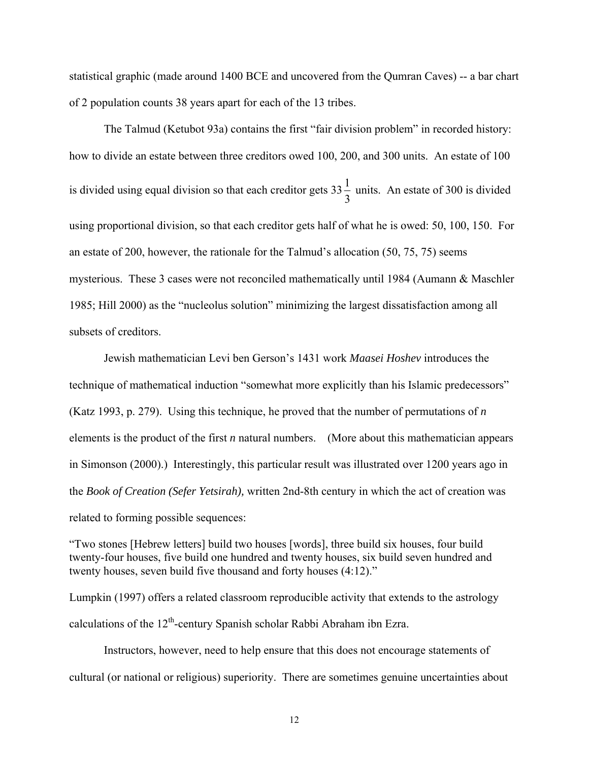statistical graphic (made around 1400 BCE and uncovered from the Qumran Caves) -- a bar chart of 2 population counts 38 years apart for each of the 13 tribes.

The Talmud (Ketubot 93a) contains the first "fair division problem" in recorded history: how to divide an estate between three creditors owed 100, 200, and 300 units. An estate of 100 is divided using equal division so that each creditor gets  $33\frac{1}{3}$  units. An estate of 300 is divided using proportional division, so that each creditor gets half of what he is owed: 50, 100, 150. For an estate of 200, however, the rationale for the Talmud's allocation (50, 75, 75) seems mysterious. These 3 cases were not reconciled mathematically until 1984 (Aumann & Maschler 1985; Hill 2000) as the "nucleolus solution" minimizing the largest dissatisfaction among all subsets of creditors.

Jewish mathematician Levi ben Gerson's 1431 work *Maasei Hoshev* introduces the technique of mathematical induction "somewhat more explicitly than his Islamic predecessors" (Katz 1993, p. 279). Using this technique, he proved that the number of permutations of *n* elements is the product of the first *n* natural numbers. (More about this mathematician appears in Simonson (2000).) Interestingly, this particular result was illustrated over 1200 years ago in the *Book of Creation (Sefer Yetsirah),* written 2nd-8th century in which the act of creation was related to forming possible sequences:

"Two stones [Hebrew letters] build two houses [words], three build six houses, four build twenty-four houses, five build one hundred and twenty houses, six build seven hundred and twenty houses, seven build five thousand and forty houses (4:12)."

Lumpkin (1997) offers a related classroom reproducible activity that extends to the astrology calculations of the  $12<sup>th</sup>$ -century Spanish scholar Rabbi Abraham ibn Ezra.

Instructors, however, need to help ensure that this does not encourage statements of cultural (or national or religious) superiority. There are sometimes genuine uncertainties about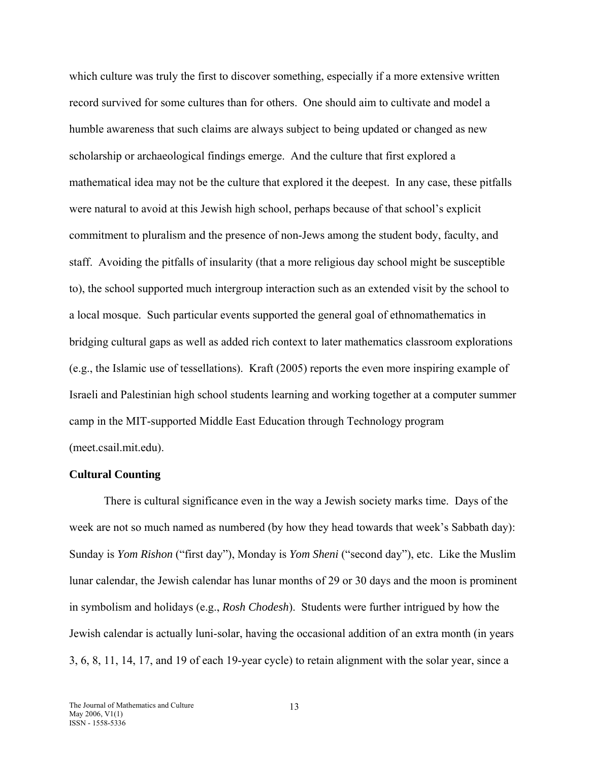which culture was truly the first to discover something, especially if a more extensive written record survived for some cultures than for others. One should aim to cultivate and model a humble awareness that such claims are always subject to being updated or changed as new scholarship or archaeological findings emerge. And the culture that first explored a mathematical idea may not be the culture that explored it the deepest. In any case, these pitfalls were natural to avoid at this Jewish high school, perhaps because of that school's explicit commitment to pluralism and the presence of non-Jews among the student body, faculty, and staff. Avoiding the pitfalls of insularity (that a more religious day school might be susceptible to), the school supported much intergroup interaction such as an extended visit by the school to a local mosque. Such particular events supported the general goal of ethnomathematics in bridging cultural gaps as well as added rich context to later mathematics classroom explorations (e.g., the Islamic use of tessellations). Kraft (2005) reports the even more inspiring example of Israeli and Palestinian high school students learning and working together at a computer summer camp in the MIT-supported Middle East Education through Technology program (meet.csail.mit.edu).

#### **Cultural Counting**

There is cultural significance even in the way a Jewish society marks time. Days of the week are not so much named as numbered (by how they head towards that week's Sabbath day): Sunday is *Yom Rishon* ("first day"), Monday is *Yom Sheni* ("second day"), etc. Like the Muslim lunar calendar, the Jewish calendar has lunar months of 29 or 30 days and the moon is prominent in symbolism and holidays (e.g., *Rosh Chodesh*). Students were further intrigued by how the Jewish calendar is actually luni-solar, having the occasional addition of an extra month (in years 3, 6, 8, 11, 14, 17, and 19 of each 19-year cycle) to retain alignment with the solar year, since a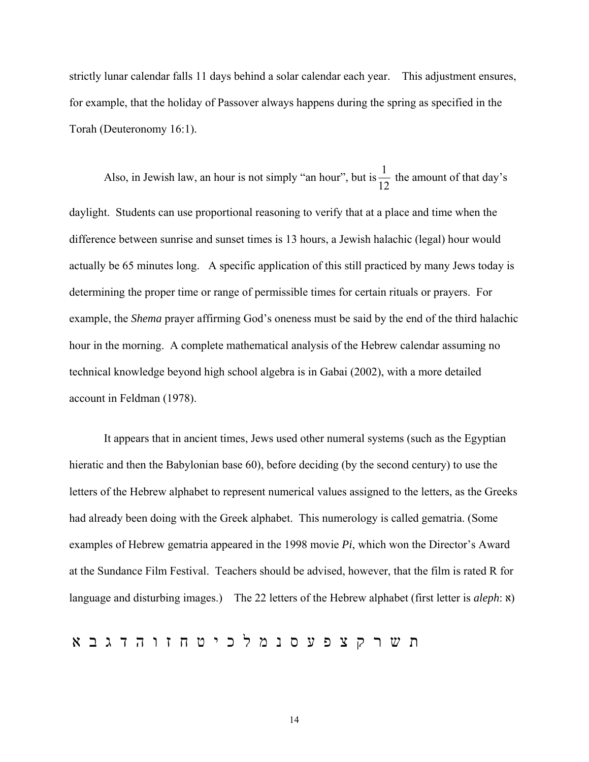strictly lunar calendar falls 11 days behind a solar calendar each year. This adjustment ensures, for example, that the holiday of Passover always happens during the spring as specified in the Torah (Deuteronomy 16:1).

Also, in Jewish law, an hour is not simply "an hour", but is  $\frac{1}{12}$  the amount of that day's daylight. Students can use proportional reasoning to verify that at a place and time when the difference between sunrise and sunset times is 13 hours, a Jewish halachic (legal) hour would actually be 65 minutes long. A specific application of this still practiced by many Jews today is determining the proper time or range of permissible times for certain rituals or prayers. For example, the *Shema* prayer affirming God's oneness must be said by the end of the third halachic hour in the morning. A complete mathematical analysis of the Hebrew calendar assuming no technical knowledge beyond high school algebra is in Gabai (2002), with a more detailed account in Feldman (1978).

It appears that in ancient times, Jews used other numeral systems (such as the Egyptian hieratic and then the Babylonian base 60), before deciding (by the second century) to use the letters of the Hebrew alphabet to represent numerical values assigned to the letters, as the Greeks had already been doing with the Greek alphabet. This numerology is called gematria. (Some examples of Hebrew gematria appeared in the 1998 movie *Pi*, which won the Director's Award at the Sundance Film Festival. Teachers should be advised, however, that the film is rated R for language and disturbing images.) The 22 letters of the Hebrew alphabet (first letter is *aleph*:  $\mathbf{x}$ )

ת ש ר ק צ פ ע ס נ מ ל כ י ט ח ז ו ה ד ג ב א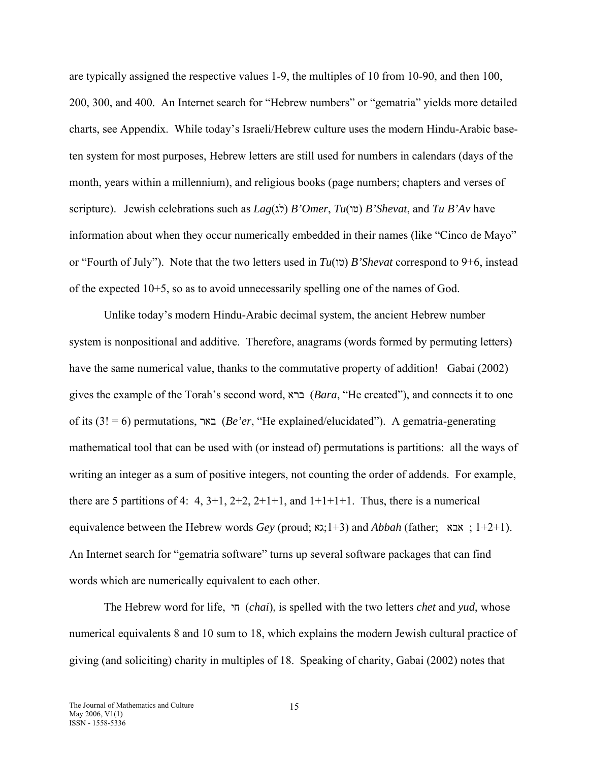are typically assigned the respective values 1-9, the multiples of 10 from 10-90, and then 100, 200, 300, and 400. An Internet search for "Hebrew numbers" or "gematria" yields more detailed charts, see Appendix. While today's Israeli/Hebrew culture uses the modern Hindu-Arabic baseten system for most purposes, Hebrew letters are still used for numbers in calendars (days of the month, years within a millennium), and religious books (page numbers; chapters and verses of scripture). Jewish celebrations such as *Lag*(לג (*B'Omer*, *Tu*(טו (*B'Shevat*, and *Tu B'Av* have information about when they occur numerically embedded in their names (like "Cinco de Mayo" or "Fourth of July"). Note that the two letters used in *Tu*(טו (*B'Shevat* correspond to 9+6, instead of the expected 10+5, so as to avoid unnecessarily spelling one of the names of God.

Unlike today's modern Hindu-Arabic decimal system, the ancient Hebrew number system is nonpositional and additive. Therefore, anagrams (words formed by permuting letters) have the same numerical value, thanks to the commutative property of addition! Gabai (2002) gives the example of the Torah's second word, ברא) *Bara*, "He created"), and connects it to one of its (3! = 6) permutations, באר) *Be'er*, "He explained/elucidated"). A gematria-generating mathematical tool that can be used with (or instead of) permutations is partitions: all the ways of writing an integer as a sum of positive integers, not counting the order of addends. For example, there are 5 partitions of 4: 4,  $3+1$ ,  $2+2$ ,  $2+1+1$ , and  $1+1+1+1$ . Thus, there is a numerical equivalence between the Hebrew words *Gey* (proud; גאָג;1+3) and *Abbah* (father;  $\alpha$  ; 1+2+1). An Internet search for "gematria software" turns up several software packages that can find words which are numerically equivalent to each other.

The Hebrew word for life, חי) *chai*), is spelled with the two letters *chet* and *yud*, whose numerical equivalents 8 and 10 sum to 18, which explains the modern Jewish cultural practice of giving (and soliciting) charity in multiples of 18. Speaking of charity, Gabai (2002) notes that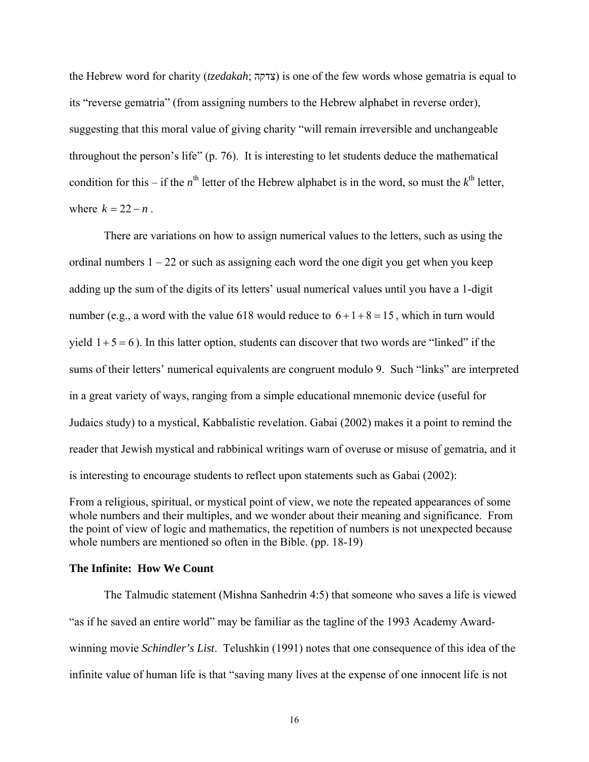the Hebrew word for charity (*tzedakah*; צדקה (is one of the few words whose gematria is equal to its "reverse gematria" (from assigning numbers to the Hebrew alphabet in reverse order), suggesting that this moral value of giving charity "will remain irreversible and unchangeable throughout the person's life" (p. 76). It is interesting to let students deduce the mathematical condition for this – if the  $n^{\text{th}}$  letter of the Hebrew alphabet is in the word, so must the  $k^{\text{th}}$  letter, where  $k = 22 - n$ .

There are variations on how to assign numerical values to the letters, such as using the ordinal numbers  $1 - 22$  or such as assigning each word the one digit you get when you keep adding up the sum of the digits of its letters' usual numerical values until you have a 1-digit number (e.g., a word with the value 618 would reduce to  $6 + 1 + 8 = 15$ , which in turn would yield  $1+5=6$ ). In this latter option, students can discover that two words are "linked" if the sums of their letters' numerical equivalents are congruent modulo 9. Such "links" are interpreted in a great variety of ways, ranging from a simple educational mnemonic device (useful for Judaics study) to a mystical, Kabbalistic revelation. Gabai (2002) makes it a point to remind the reader that Jewish mystical and rabbinical writings warn of overuse or misuse of gematria, and it is interesting to encourage students to reflect upon statements such as Gabai (2002):

From a religious, spiritual, or mystical point of view, we note the repeated appearances of some whole numbers and their multiples, and we wonder about their meaning and significance. From the point of view of logic and mathematics, the repetition of numbers is not unexpected because whole numbers are mentioned so often in the Bible. (pp. 18-19)

### **The Infinite: How We Count**

The Talmudic statement (Mishna Sanhedrin 4:5) that someone who saves a life is viewed "as if he saved an entire world" may be familiar as the tagline of the 1993 Academy Awardwinning movie *Schindler's List*. Telushkin (1991) notes that one consequence of this idea of the infinite value of human life is that "saving many lives at the expense of one innocent life is not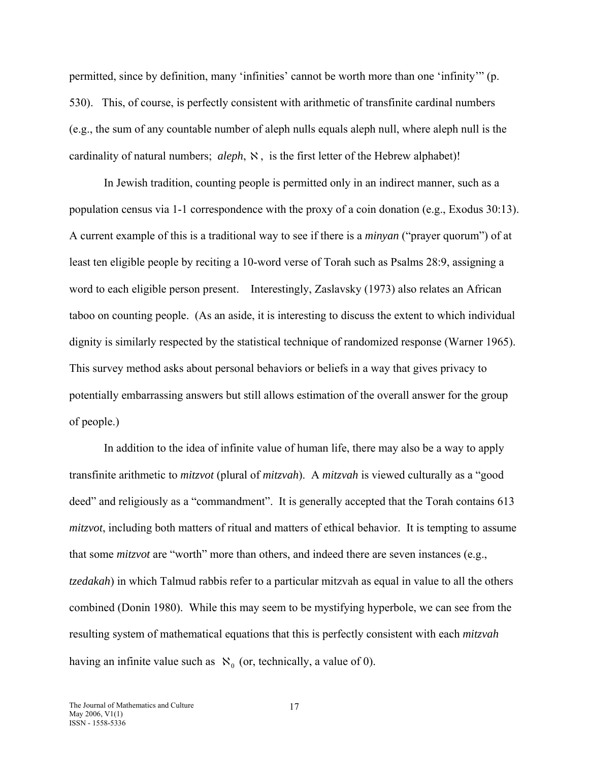permitted, since by definition, many 'infinities' cannot be worth more than one 'infinity'" (p. 530). This, of course, is perfectly consistent with arithmetic of transfinite cardinal numbers (e.g., the sum of any countable number of aleph nulls equals aleph null, where aleph null is the cardinality of natural numbers; *aleph*,  $\aleph$ , is the first letter of the Hebrew alphabet)!

In Jewish tradition, counting people is permitted only in an indirect manner, such as a population census via 1-1 correspondence with the proxy of a coin donation (e.g., Exodus 30:13). A current example of this is a traditional way to see if there is a *minyan* ("prayer quorum") of at least ten eligible people by reciting a 10-word verse of Torah such as Psalms 28:9, assigning a word to each eligible person present. Interestingly, Zaslavsky (1973) also relates an African taboo on counting people. (As an aside, it is interesting to discuss the extent to which individual dignity is similarly respected by the statistical technique of randomized response (Warner 1965). This survey method asks about personal behaviors or beliefs in a way that gives privacy to potentially embarrassing answers but still allows estimation of the overall answer for the group of people.)

In addition to the idea of infinite value of human life, there may also be a way to apply transfinite arithmetic to *mitzvot* (plural of *mitzvah*). A *mitzvah* is viewed culturally as a "good deed" and religiously as a "commandment". It is generally accepted that the Torah contains 613 *mitzvot*, including both matters of ritual and matters of ethical behavior. It is tempting to assume that some *mitzvot* are "worth" more than others, and indeed there are seven instances (e.g., *tzedakah*) in which Talmud rabbis refer to a particular mitzvah as equal in value to all the others combined (Donin 1980). While this may seem to be mystifying hyperbole, we can see from the resulting system of mathematical equations that this is perfectly consistent with each *mitzvah* having an infinite value such as  $\aleph_0$  (or, technically, a value of 0).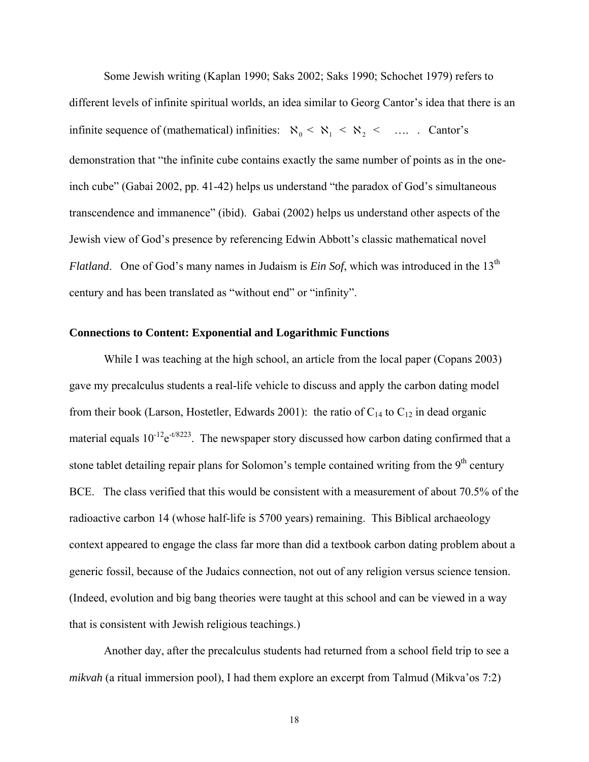Some Jewish writing (Kaplan 1990; Saks 2002; Saks 1990; Schochet 1979) refers to different levels of infinite spiritual worlds, an idea similar to Georg Cantor's idea that there is an infinite sequence of (mathematical) infinities:  $\aleph_0 < \aleph_1 < \aleph_2 < \dots$ . Cantor's demonstration that "the infinite cube contains exactly the same number of points as in the oneinch cube" (Gabai 2002, pp. 41-42) helps us understand "the paradox of God's simultaneous transcendence and immanence" (ibid). Gabai (2002) helps us understand other aspects of the Jewish view of God's presence by referencing Edwin Abbott's classic mathematical novel *Flatland.* One of God's many names in Judaism is *Ein Sof*, which was introduced in the 13<sup>th</sup> century and has been translated as "without end" or "infinity".

#### **Connections to Content: Exponential and Logarithmic Functions**

While I was teaching at the high school, an article from the local paper (Copans 2003) gave my precalculus students a real-life vehicle to discuss and apply the carbon dating model from their book (Larson, Hostetler, Edwards 2001): the ratio of  $C_{14}$  to  $C_{12}$  in dead organic material equals  $10^{-12}e^{-t/8223}$ . The newspaper story discussed how carbon dating confirmed that a stone tablet detailing repair plans for Solomon's temple contained writing from the  $9<sup>th</sup>$  century BCE. The class verified that this would be consistent with a measurement of about 70.5% of the radioactive carbon 14 (whose half-life is 5700 years) remaining. This Biblical archaeology context appeared to engage the class far more than did a textbook carbon dating problem about a generic fossil, because of the Judaics connection, not out of any religion versus science tension. (Indeed, evolution and big bang theories were taught at this school and can be viewed in a way that is consistent with Jewish religious teachings.)

Another day, after the precalculus students had returned from a school field trip to see a *mikvah* (a ritual immersion pool), I had them explore an excerpt from Talmud (Mikva'os 7:2)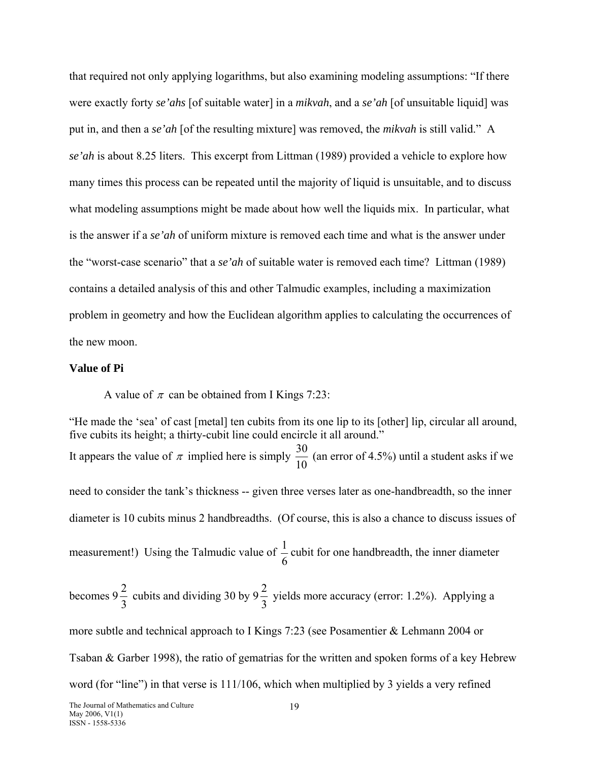that required not only applying logarithms, but also examining modeling assumptions: "If there were exactly forty *se'ahs* [of suitable water] in a *mikvah*, and a *se'ah* [of unsuitable liquid] was put in, and then a *se'ah* [of the resulting mixture] was removed, the *mikvah* is still valid." A *se'ah* is about 8.25 liters. This excerpt from Littman (1989) provided a vehicle to explore how many times this process can be repeated until the majority of liquid is unsuitable, and to discuss what modeling assumptions might be made about how well the liquids mix. In particular, what is the answer if a *se'ah* of uniform mixture is removed each time and what is the answer under the "worst-case scenario" that a *se'ah* of suitable water is removed each time? Littman (1989) contains a detailed analysis of this and other Talmudic examples, including a maximization problem in geometry and how the Euclidean algorithm applies to calculating the occurrences of the new moon.

#### **Value of Pi**

A value of  $\pi$  can be obtained from I Kings 7:23:

"He made the 'sea' of cast [metal] ten cubits from its one lip to its [other] lip, circular all around, five cubits its height; a thirty-cubit line could encircle it all around." It appears the value of  $\pi$  implied here is simply  $\frac{30}{10}$  (an error of 4.5%) until a student asks if we need to consider the tank's thickness -- given three verses later as one-handbreadth, so the inner diameter is 10 cubits minus 2 handbreadths. (Of course, this is also a chance to discuss issues of measurement!) Using the Talmudic value of 6  $\frac{1}{2}$  cubit for one handbreadth, the inner diameter becomes 9  $\frac{2}{3}$  cubits and dividing 30 by 9 $\frac{2}{3}$  yields more accuracy (error: 1.2%). Applying a more subtle and technical approach to I Kings 7:23 (see Posamentier & Lehmann 2004 or Tsaban & Garber 1998), the ratio of gematrias for the written and spoken forms of a key Hebrew word (for "line") in that verse is 111/106, which when multiplied by 3 yields a very refined The Journal of Mathematics and Culture 19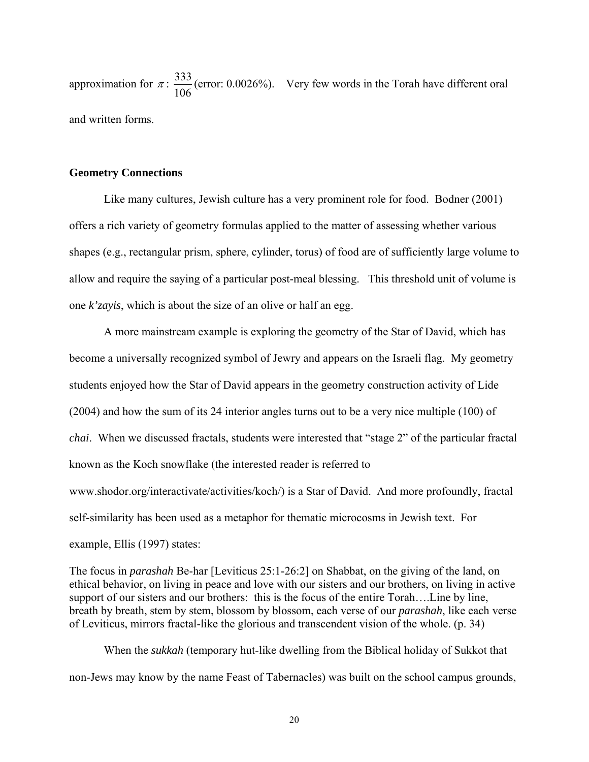approximation for  $\pi$  : 106  $\frac{333}{100}$  (error: 0.0026%). Very few words in the Torah have different oral and written forms.

#### **Geometry Connections**

Like many cultures, Jewish culture has a very prominent role for food. Bodner (2001) offers a rich variety of geometry formulas applied to the matter of assessing whether various shapes (e.g., rectangular prism, sphere, cylinder, torus) of food are of sufficiently large volume to allow and require the saying of a particular post-meal blessing. This threshold unit of volume is one *k'zayis*, which is about the size of an olive or half an egg.

A more mainstream example is exploring the geometry of the Star of David, which has become a universally recognized symbol of Jewry and appears on the Israeli flag. My geometry students enjoyed how the Star of David appears in the geometry construction activity of Lide (2004) and how the sum of its 24 interior angles turns out to be a very nice multiple (100) of *chai*. When we discussed fractals, students were interested that "stage 2" of the particular fractal known as the Koch snowflake (the interested reader is referred to www.shodor.org/interactivate/activities/koch/) is a Star of David. And more profoundly, fractal self-similarity has been used as a metaphor for thematic microcosms in Jewish text. For example, Ellis (1997) states:

The focus in *parashah* Be-har [Leviticus 25:1-26:2] on Shabbat, on the giving of the land, on ethical behavior, on living in peace and love with our sisters and our brothers, on living in active support of our sisters and our brothers: this is the focus of the entire Torah….Line by line, breath by breath, stem by stem, blossom by blossom, each verse of our *parashah*, like each verse of Leviticus, mirrors fractal-like the glorious and transcendent vision of the whole. (p. 34)

When the *sukkah* (temporary hut-like dwelling from the Biblical holiday of Sukkot that non-Jews may know by the name Feast of Tabernacles) was built on the school campus grounds,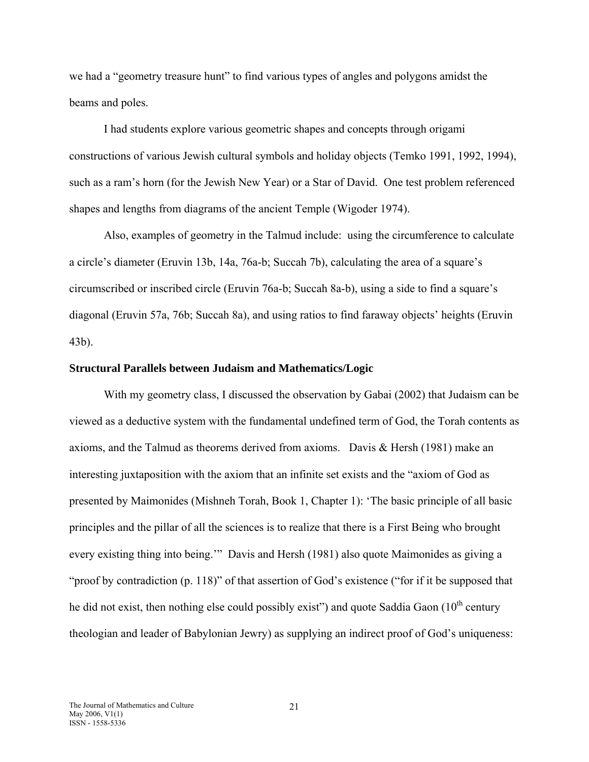we had a "geometry treasure hunt" to find various types of angles and polygons amidst the beams and poles.

I had students explore various geometric shapes and concepts through origami constructions of various Jewish cultural symbols and holiday objects (Temko 1991, 1992, 1994), such as a ram's horn (for the Jewish New Year) or a Star of David. One test problem referenced shapes and lengths from diagrams of the ancient Temple (Wigoder 1974).

Also, examples of geometry in the Talmud include: using the circumference to calculate a circle's diameter (Eruvin 13b, 14a, 76a-b; Succah 7b), calculating the area of a square's circumscribed or inscribed circle (Eruvin 76a-b; Succah 8a-b), using a side to find a square's diagonal (Eruvin 57a, 76b; Succah 8a), and using ratios to find faraway objects' heights (Eruvin 43b).

#### **Structural Parallels between Judaism and Mathematics/Logic**

With my geometry class, I discussed the observation by Gabai (2002) that Judaism can be viewed as a deductive system with the fundamental undefined term of God, the Torah contents as axioms, and the Talmud as theorems derived from axioms. Davis  $\&$  Hersh (1981) make an interesting juxtaposition with the axiom that an infinite set exists and the "axiom of God as presented by Maimonides (Mishneh Torah, Book 1, Chapter 1): 'The basic principle of all basic principles and the pillar of all the sciences is to realize that there is a First Being who brought every existing thing into being.'" Davis and Hersh (1981) also quote Maimonides as giving a "proof by contradiction (p. 118)" of that assertion of God's existence ("for if it be supposed that he did not exist, then nothing else could possibly exist") and quote Saddia Gaon  $(10<sup>th</sup>$  century theologian and leader of Babylonian Jewry) as supplying an indirect proof of God's uniqueness: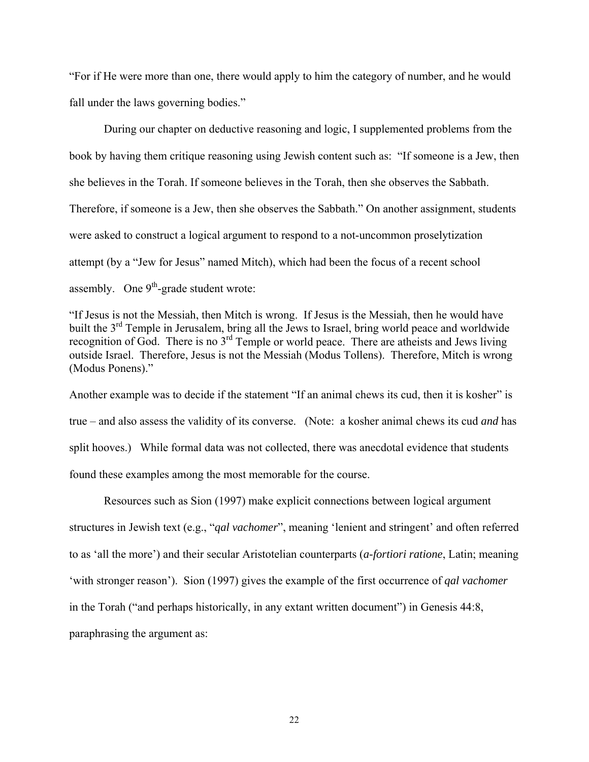"For if He were more than one, there would apply to him the category of number, and he would fall under the laws governing bodies."

During our chapter on deductive reasoning and logic, I supplemented problems from the book by having them critique reasoning using Jewish content such as: "If someone is a Jew, then she believes in the Torah. If someone believes in the Torah, then she observes the Sabbath. Therefore, if someone is a Jew, then she observes the Sabbath." On another assignment, students were asked to construct a logical argument to respond to a not-uncommon proselytization attempt (by a "Jew for Jesus" named Mitch), which had been the focus of a recent school assembly. One  $9<sup>th</sup>$ -grade student wrote:

"If Jesus is not the Messiah, then Mitch is wrong. If Jesus is the Messiah, then he would have built the 3<sup>rd</sup> Temple in Jerusalem, bring all the Jews to Israel, bring world peace and worldwide recognition of God. There is no  $3<sup>rd</sup>$  Temple or world peace. There are atheists and Jews living outside Israel. Therefore, Jesus is not the Messiah (Modus Tollens). Therefore, Mitch is wrong (Modus Ponens)."

Another example was to decide if the statement "If an animal chews its cud, then it is kosher" is true – and also assess the validity of its converse. (Note: a kosher animal chews its cud *and* has split hooves.) While formal data was not collected, there was anecdotal evidence that students found these examples among the most memorable for the course.

Resources such as Sion (1997) make explicit connections between logical argument structures in Jewish text (e.g., "*qal vachomer*", meaning 'lenient and stringent' and often referred to as 'all the more') and their secular Aristotelian counterparts (*a-fortiori ratione*, Latin; meaning 'with stronger reason'). Sion (1997) gives the example of the first occurrence of *qal vachomer* in the Torah ("and perhaps historically, in any extant written document") in Genesis 44:8, paraphrasing the argument as: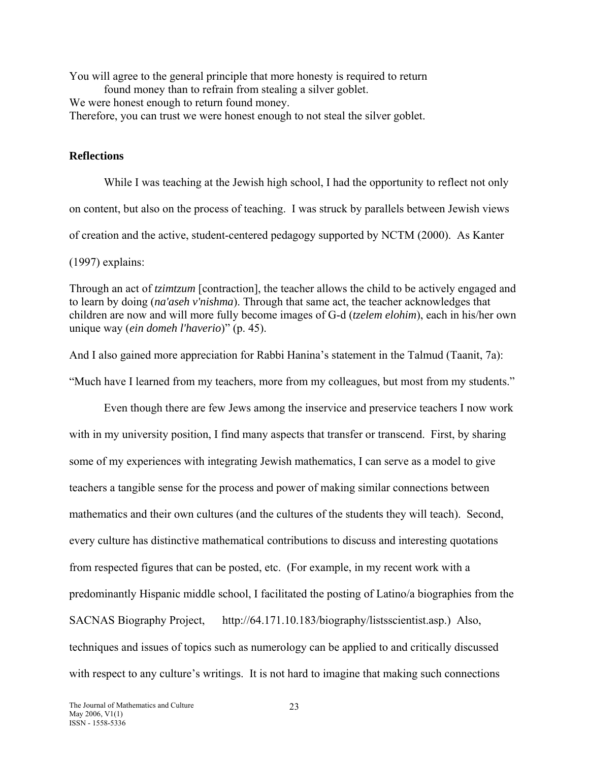You will agree to the general principle that more honesty is required to return found money than to refrain from stealing a silver goblet. We were honest enough to return found money. Therefore, you can trust we were honest enough to not steal the silver goblet.

## **Reflections**

While I was teaching at the Jewish high school, I had the opportunity to reflect not only on content, but also on the process of teaching. I was struck by parallels between Jewish views of creation and the active, student-centered pedagogy supported by NCTM (2000). As Kanter

(1997) explains:

Through an act of *tzimtzum* [contraction], the teacher allows the child to be actively engaged and to learn by doing (*na'aseh v'nishma*). Through that same act, the teacher acknowledges that children are now and will more fully become images of G-d (*tzelem elohim*), each in his/her own unique way (*ein domeh l'haverio*)" (p. 45).

And I also gained more appreciation for Rabbi Hanina's statement in the Talmud (Taanit, 7a):

"Much have I learned from my teachers, more from my colleagues, but most from my students."

Even though there are few Jews among the inservice and preservice teachers I now work with in my university position, I find many aspects that transfer or transcend. First, by sharing some of my experiences with integrating Jewish mathematics, I can serve as a model to give teachers a tangible sense for the process and power of making similar connections between mathematics and their own cultures (and the cultures of the students they will teach). Second, every culture has distinctive mathematical contributions to discuss and interesting quotations from respected figures that can be posted, etc. (For example, in my recent work with a predominantly Hispanic middle school, I facilitated the posting of Latino/a biographies from the SACNAS Biography Project, http://64.171.10.183/biography/listsscientist.asp.) Also, techniques and issues of topics such as numerology can be applied to and critically discussed with respect to any culture's writings. It is not hard to imagine that making such connections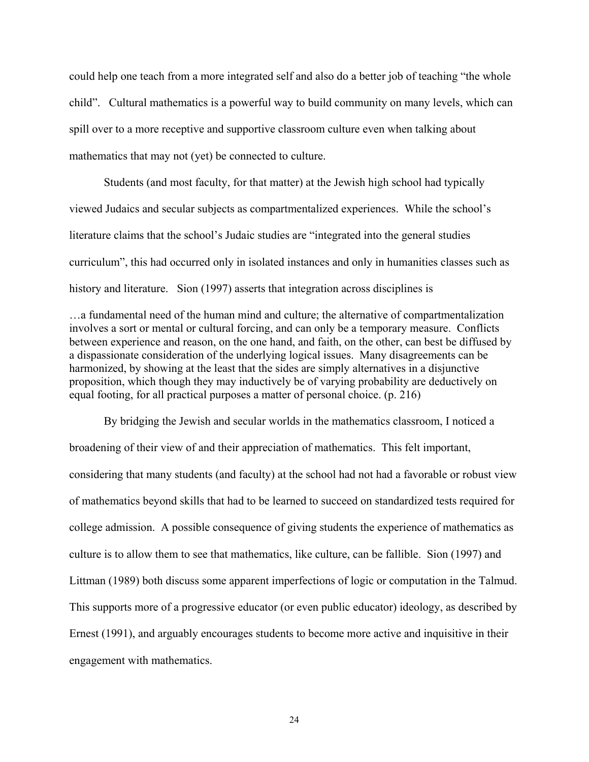could help one teach from a more integrated self and also do a better job of teaching "the whole child". Cultural mathematics is a powerful way to build community on many levels, which can spill over to a more receptive and supportive classroom culture even when talking about mathematics that may not (yet) be connected to culture.

Students (and most faculty, for that matter) at the Jewish high school had typically viewed Judaics and secular subjects as compartmentalized experiences. While the school's literature claims that the school's Judaic studies are "integrated into the general studies curriculum", this had occurred only in isolated instances and only in humanities classes such as history and literature. Sion (1997) asserts that integration across disciplines is

…a fundamental need of the human mind and culture; the alternative of compartmentalization involves a sort or mental or cultural forcing, and can only be a temporary measure. Conflicts between experience and reason, on the one hand, and faith, on the other, can best be diffused by a dispassionate consideration of the underlying logical issues. Many disagreements can be harmonized, by showing at the least that the sides are simply alternatives in a disjunctive proposition, which though they may inductively be of varying probability are deductively on equal footing, for all practical purposes a matter of personal choice. (p. 216)

By bridging the Jewish and secular worlds in the mathematics classroom, I noticed a broadening of their view of and their appreciation of mathematics. This felt important, considering that many students (and faculty) at the school had not had a favorable or robust view of mathematics beyond skills that had to be learned to succeed on standardized tests required for college admission. A possible consequence of giving students the experience of mathematics as culture is to allow them to see that mathematics, like culture, can be fallible. Sion (1997) and Littman (1989) both discuss some apparent imperfections of logic or computation in the Talmud. This supports more of a progressive educator (or even public educator) ideology, as described by Ernest (1991), and arguably encourages students to become more active and inquisitive in their engagement with mathematics.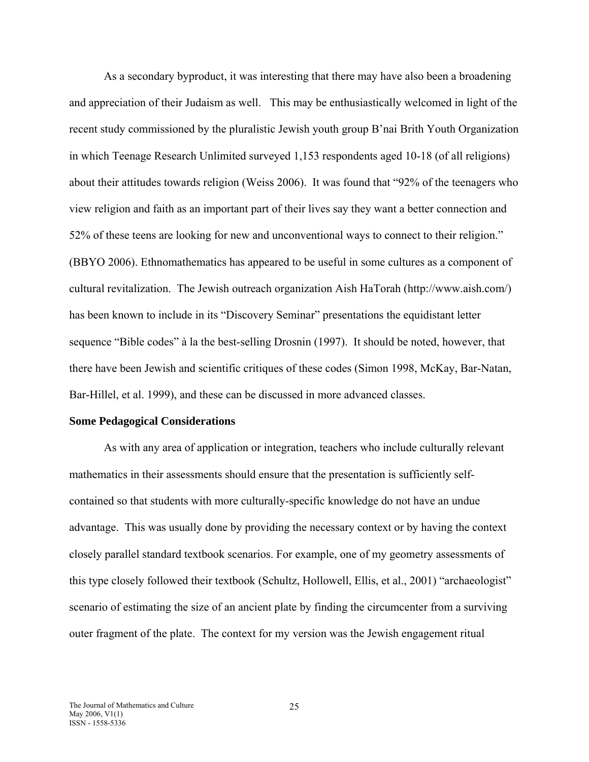As a secondary byproduct, it was interesting that there may have also been a broadening and appreciation of their Judaism as well. This may be enthusiastically welcomed in light of the recent study commissioned by the pluralistic Jewish youth group B'nai Brith Youth Organization in which Teenage Research Unlimited surveyed 1,153 respondents aged 10-18 (of all religions) about their attitudes towards religion (Weiss 2006). It was found that "92% of the teenagers who view religion and faith as an important part of their lives say they want a better connection and 52% of these teens are looking for new and unconventional ways to connect to their religion." (BBYO 2006). Ethnomathematics has appeared to be useful in some cultures as a component of cultural revitalization. The Jewish outreach organization Aish HaTorah (http://www.aish.com/) has been known to include in its "Discovery Seminar" presentations the equidistant letter sequence "Bible codes" à la the best-selling Drosnin (1997). It should be noted, however, that there have been Jewish and scientific critiques of these codes (Simon 1998, McKay, Bar-Natan, Bar-Hillel, et al. 1999), and these can be discussed in more advanced classes.

#### **Some Pedagogical Considerations**

As with any area of application or integration, teachers who include culturally relevant mathematics in their assessments should ensure that the presentation is sufficiently selfcontained so that students with more culturally-specific knowledge do not have an undue advantage. This was usually done by providing the necessary context or by having the context closely parallel standard textbook scenarios. For example, one of my geometry assessments of this type closely followed their textbook (Schultz, Hollowell, Ellis, et al., 2001) "archaeologist" scenario of estimating the size of an ancient plate by finding the circumcenter from a surviving outer fragment of the plate. The context for my version was the Jewish engagement ritual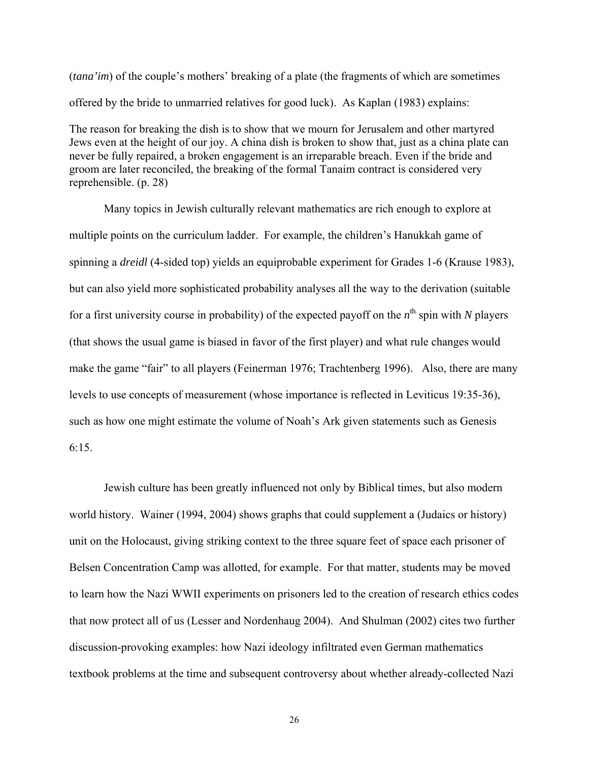(*tana'im*) of the couple's mothers' breaking of a plate (the fragments of which are sometimes offered by the bride to unmarried relatives for good luck). As Kaplan (1983) explains:

The reason for breaking the dish is to show that we mourn for Jerusalem and other martyred Jews even at the height of our joy. A china dish is broken to show that, just as a china plate can never be fully repaired, a broken engagement is an irreparable breach. Even if the bride and groom are later reconciled, the breaking of the formal Tanaim contract is considered very reprehensible. (p. 28)

Many topics in Jewish culturally relevant mathematics are rich enough to explore at multiple points on the curriculum ladder. For example, the children's Hanukkah game of spinning a *dreidl* (4-sided top) yields an equiprobable experiment for Grades 1-6 (Krause 1983), but can also yield more sophisticated probability analyses all the way to the derivation (suitable for a first university course in probability) of the expected payoff on the  $n^{\text{th}}$  spin with *N* players (that shows the usual game is biased in favor of the first player) and what rule changes would make the game "fair" to all players (Feinerman 1976; Trachtenberg 1996). Also, there are many levels to use concepts of measurement (whose importance is reflected in Leviticus 19:35-36), such as how one might estimate the volume of Noah's Ark given statements such as Genesis 6:15.

Jewish culture has been greatly influenced not only by Biblical times, but also modern world history. Wainer (1994, 2004) shows graphs that could supplement a (Judaics or history) unit on the Holocaust, giving striking context to the three square feet of space each prisoner of Belsen Concentration Camp was allotted, for example. For that matter, students may be moved to learn how the Nazi WWII experiments on prisoners led to the creation of research ethics codes that now protect all of us (Lesser and Nordenhaug 2004). And Shulman (2002) cites two further discussion-provoking examples: how Nazi ideology infiltrated even German mathematics textbook problems at the time and subsequent controversy about whether already-collected Nazi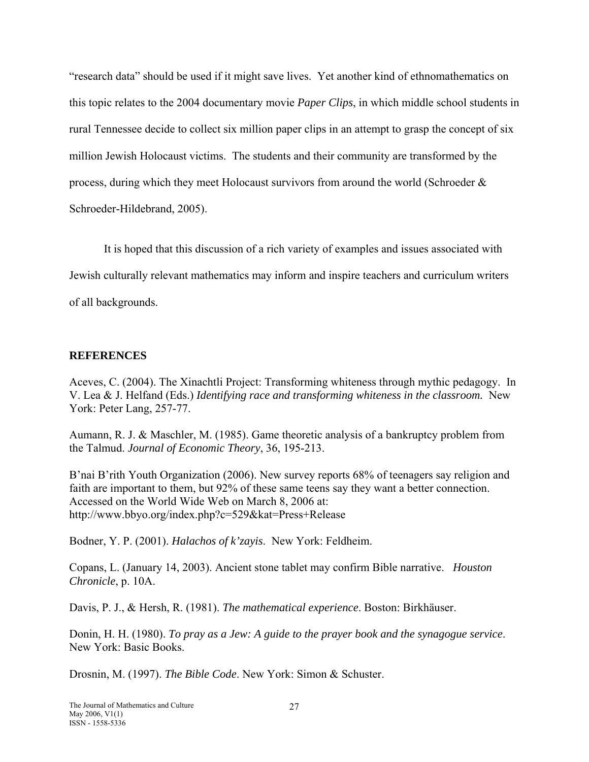"research data" should be used if it might save lives. Yet another kind of ethnomathematics on this topic relates to the 2004 documentary movie *Paper Clips*, in which middle school students in rural Tennessee decide to collect six million paper clips in an attempt to grasp the concept of six million Jewish Holocaust victims. The students and their community are transformed by the process, during which they meet Holocaust survivors from around the world (Schroeder  $\&$ Schroeder-Hildebrand, 2005).

It is hoped that this discussion of a rich variety of examples and issues associated with Jewish culturally relevant mathematics may inform and inspire teachers and curriculum writers of all backgrounds.

## **REFERENCES**

Aceves, C. (2004). The Xinachtli Project: Transforming whiteness through mythic pedagogy. In V. Lea & J. Helfand (Eds.) *Identifying race and transforming whiteness in the classroom.* New York: Peter Lang, 257-77.

Aumann, R. J. & Maschler, M. (1985). Game theoretic analysis of a bankruptcy problem from the Talmud. *Journal of Economic Theory*, 36, 195-213.

B'nai B'rith Youth Organization (2006). New survey reports 68% of teenagers say religion and faith are important to them, but 92% of these same teens say they want a better connection. Accessed on the World Wide Web on March 8, 2006 at: http://www.bbyo.org/index.php?c=529&kat=Press+Release

Bodner, Y. P. (2001). *Halachos of k'zayis*. New York: Feldheim.

Copans, L. (January 14, 2003). Ancient stone tablet may confirm Bible narrative. *Houston Chronicle*, p. 10A.

Davis, P. J., & Hersh, R. (1981). *The mathematical experience*. Boston: Birkhäuser.

Donin, H. H. (1980). *To pray as a Jew: A guide to the prayer book and the synagogue service*. New York: Basic Books.

Drosnin, M. (1997). *The Bible Code*. New York: Simon & Schuster.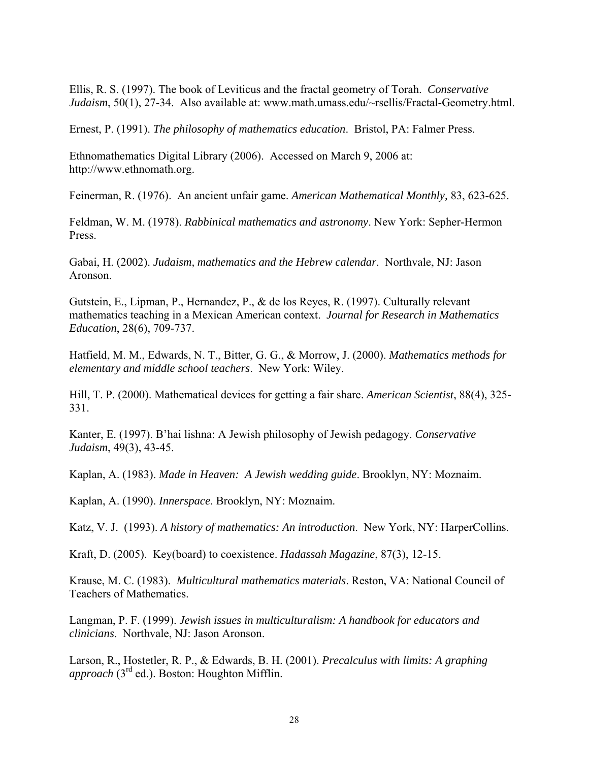Ellis, R. S. (1997). The book of Leviticus and the fractal geometry of Torah. *Conservative Judaism*, 50(1), 27-34. Also available at: www.math.umass.edu/~rsellis/Fractal-Geometry.html.

Ernest, P. (1991). *The philosophy of mathematics education*. Bristol, PA: Falmer Press.

Ethnomathematics Digital Library (2006). Accessed on March 9, 2006 at: http://www.ethnomath.org.

Feinerman, R. (1976). An ancient unfair game. *American Mathematical Monthly,* 83, 623-625.

Feldman, W. M. (1978). *Rabbinical mathematics and astronomy*. New York: Sepher-Hermon Press.

Gabai, H. (2002). *Judaism, mathematics and the Hebrew calendar*. Northvale, NJ: Jason Aronson.

Gutstein, E., Lipman, P., Hernandez, P., & de los Reyes, R. (1997). Culturally relevant mathematics teaching in a Mexican American context. *Journal for Research in Mathematics Education*, 28(6), 709-737.

Hatfield, M. M., Edwards, N. T., Bitter, G. G., & Morrow, J. (2000). *Mathematics methods for elementary and middle school teachers*. New York: Wiley.

Hill, T. P. (2000). Mathematical devices for getting a fair share. *American Scientist*, 88(4), 325- 331.

Kanter, E. (1997). B'hai lishna: A Jewish philosophy of Jewish pedagogy. *Conservative Judaism*, 49(3), 43-45.

Kaplan, A. (1983). *Made in Heaven: A Jewish wedding guide*. Brooklyn, NY: Moznaim.

Kaplan, A. (1990). *Innerspace*. Brooklyn, NY: Moznaim.

Katz, V. J. (1993). *A history of mathematics: An introduction*. New York, NY: HarperCollins.

Kraft, D. (2005). Key(board) to coexistence. *Hadassah Magazine*, 87(3), 12-15.

Krause, M. C. (1983). *Multicultural mathematics materials*. Reston, VA: National Council of Teachers of Mathematics.

Langman, P. F. (1999). *Jewish issues in multiculturalism: A handbook for educators and clinicians*. Northvale, NJ: Jason Aronson.

Larson, R., Hostetler, R. P., & Edwards, B. H. (2001). *Precalculus with limits: A graphing approach* (3rd ed.). Boston: Houghton Mifflin.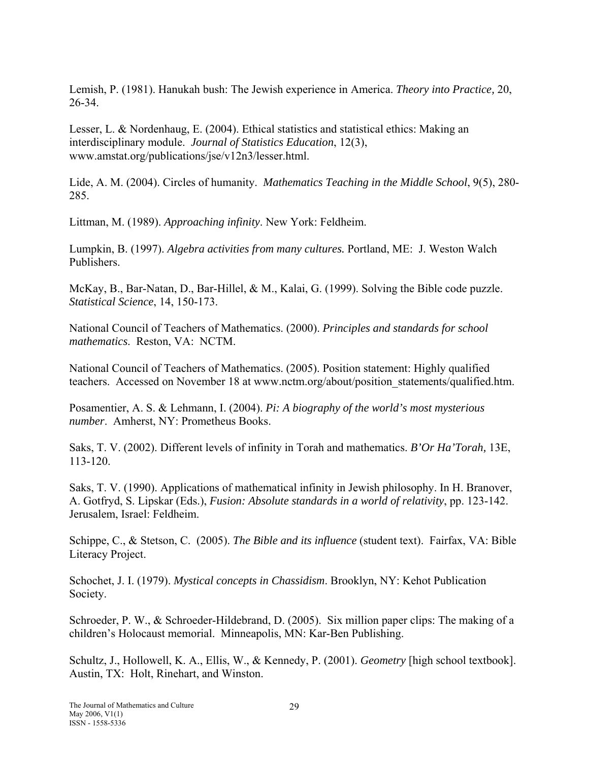Lemish, P. (1981). Hanukah bush: The Jewish experience in America. *Theory into Practice,* 20, 26-34.

Lesser, L. & Nordenhaug, E. (2004). Ethical statistics and statistical ethics: Making an interdisciplinary module. *Journal of Statistics Education*, 12(3), www.amstat.org/publications/jse/v12n3/lesser.html.

Lide, A. M. (2004). Circles of humanity. *Mathematics Teaching in the Middle School*, 9(5), 280- 285.

Littman, M. (1989). *Approaching infinity*. New York: Feldheim.

Lumpkin, B. (1997). *Algebra activities from many cultures.* Portland, ME: J. Weston Walch Publishers.

McKay, B., Bar-Natan, D., Bar-Hillel, & M., Kalai, G. (1999). Solving the Bible code puzzle. *Statistical Science*, 14, 150-173.

National Council of Teachers of Mathematics. (2000). *Principles and standards for school mathematics*. Reston, VA: NCTM.

National Council of Teachers of Mathematics. (2005). Position statement: Highly qualified teachers. Accessed on November 18 at www.nctm.org/about/position\_statements/qualified.htm.

Posamentier, A. S. & Lehmann, I. (2004). *Pi: A biography of the world's most mysterious number*. Amherst, NY: Prometheus Books.

Saks, T. V. (2002). Different levels of infinity in Torah and mathematics. *B'Or Ha'Torah,* 13E, 113-120.

Saks, T. V. (1990). Applications of mathematical infinity in Jewish philosophy. In H. Branover, A. Gotfryd, S. Lipskar (Eds.), *Fusion: Absolute standards in a world of relativity*, pp. 123-142. Jerusalem, Israel: Feldheim.

Schippe, C., & Stetson, C. (2005). *The Bible and its influence* (student text). Fairfax, VA: Bible Literacy Project.

Schochet, J. I. (1979). *Mystical concepts in Chassidism*. Brooklyn, NY: Kehot Publication Society.

Schroeder, P. W., & Schroeder-Hildebrand, D. (2005). Six million paper clips: The making of a children's Holocaust memorial. Minneapolis, MN: Kar-Ben Publishing.

Schultz, J., Hollowell, K. A., Ellis, W., & Kennedy, P. (2001). *Geometry* [high school textbook]. Austin, TX: Holt, Rinehart, and Winston.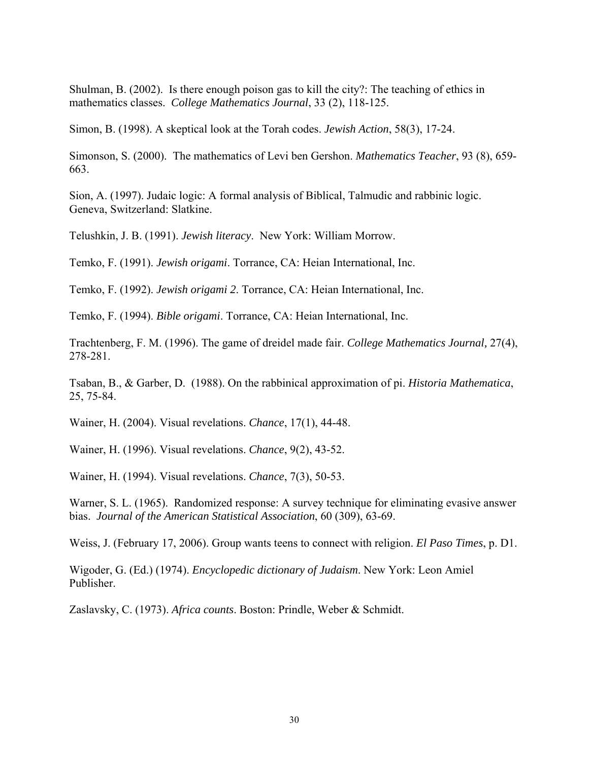Shulman, B. (2002). Is there enough poison gas to kill the city?: The teaching of ethics in mathematics classes. *College Mathematics Journal*, 33 (2), 118-125.

Simon, B. (1998). A skeptical look at the Torah codes. *Jewish Action*, 58(3), 17-24.

Simonson, S. (2000). The mathematics of Levi ben Gershon. *Mathematics Teacher*, 93 (8), 659- 663.

Sion, A. (1997). Judaic logic: A formal analysis of Biblical, Talmudic and rabbinic logic. Geneva, Switzerland: Slatkine.

Telushkin, J. B. (1991). *Jewish literacy*. New York: William Morrow.

Temko, F. (1991). *Jewish origami*. Torrance, CA: Heian International, Inc.

Temko, F. (1992). *Jewish origami 2*. Torrance, CA: Heian International, Inc.

Temko, F. (1994). *Bible origami*. Torrance, CA: Heian International, Inc.

Trachtenberg, F. M. (1996). The game of dreidel made fair. *College Mathematics Journal,* 27(4), 278-281.

Tsaban, B., & Garber, D. (1988). On the rabbinical approximation of pi. *Historia Mathematica*, 25, 75-84.

Wainer, H. (2004). Visual revelations. *Chance*, 17(1), 44-48.

Wainer, H. (1996). Visual revelations. *Chance*, 9(2), 43-52.

Wainer, H. (1994). Visual revelations. *Chance*, 7(3), 50-53.

Warner, S. L. (1965). Randomized response: A survey technique for eliminating evasive answer bias. *Journal of the American Statistical Association*, 60 (309), 63-69.

Weiss, J. (February 17, 2006). Group wants teens to connect with religion. *El Paso Times*, p. D1.

Wigoder, G. (Ed.) (1974). *Encyclopedic dictionary of Judaism*. New York: Leon Amiel Publisher.

Zaslavsky, C. (1973). *Africa counts*. Boston: Prindle, Weber & Schmidt.